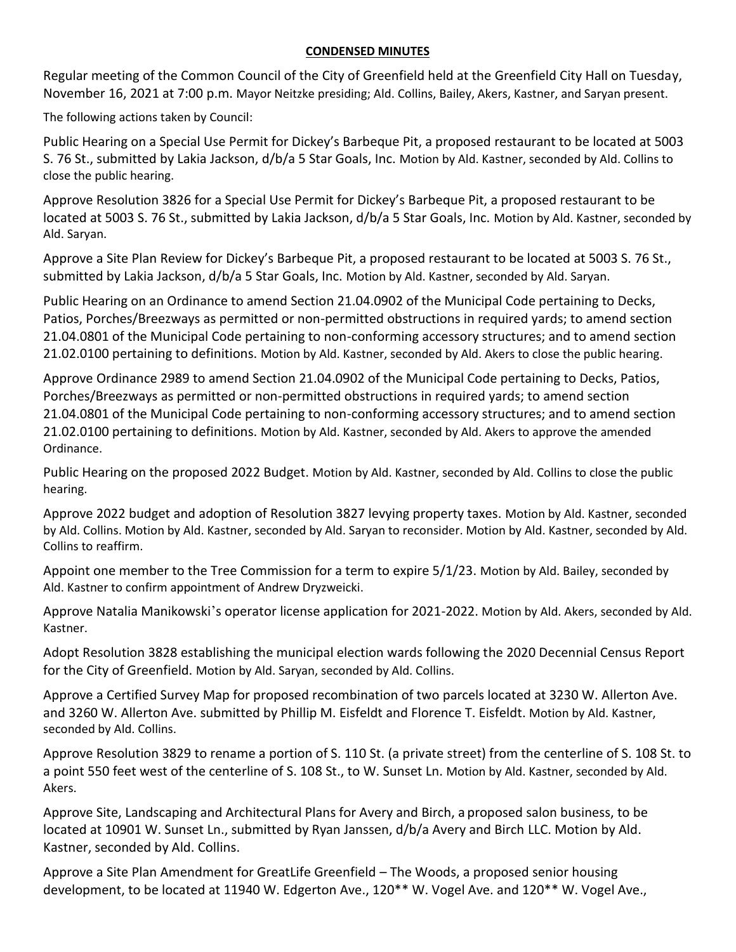## **CONDENSED MINUTES**

Regular meeting of the Common Council of the City of Greenfield held at the Greenfield City Hall on Tuesday, November 16, 2021 at 7:00 p.m. Mayor Neitzke presiding; Ald. Collins, Bailey, Akers, Kastner, and Saryan present.

The following actions taken by Council:

Public Hearing on a Special Use Permit for Dickey's Barbeque Pit, a proposed restaurant to be located at 5003 S. 76 St., submitted by Lakia Jackson, d/b/a 5 Star Goals, Inc. Motion by Ald. Kastner, seconded by Ald. Collins to close the public hearing.

Approve Resolution 3826 for a Special Use Permit for Dickey's Barbeque Pit, a proposed restaurant to be located at 5003 S. 76 St., submitted by Lakia Jackson, d/b/a 5 Star Goals, Inc. Motion by Ald. Kastner, seconded by Ald. Saryan.

Approve a Site Plan Review for Dickey's Barbeque Pit, a proposed restaurant to be located at 5003 S. 76 St., submitted by Lakia Jackson, d/b/a 5 Star Goals, Inc. Motion by Ald. Kastner, seconded by Ald. Saryan.

Public Hearing on an Ordinance to amend Section 21.04.0902 of the Municipal Code pertaining to Decks, Patios, Porches/Breezways as permitted or non-permitted obstructions in required yards; to amend section 21.04.0801 of the Municipal Code pertaining to non-conforming accessory structures; and to amend section 21.02.0100 pertaining to definitions. Motion by Ald. Kastner, seconded by Ald. Akers to close the public hearing.

Approve Ordinance 2989 to amend Section 21.04.0902 of the Municipal Code pertaining to Decks, Patios, Porches/Breezways as permitted or non-permitted obstructions in required yards; to amend section 21.04.0801 of the Municipal Code pertaining to non-conforming accessory structures; and to amend section 21.02.0100 pertaining to definitions. Motion by Ald. Kastner, seconded by Ald. Akers to approve the amended Ordinance.

Public Hearing on the proposed 2022 Budget. Motion by Ald. Kastner, seconded by Ald. Collins to close the public hearing.

Approve 2022 budget and adoption of Resolution 3827 levying property taxes. Motion by Ald. Kastner, seconded by Ald. Collins. Motion by Ald. Kastner, seconded by Ald. Saryan to reconsider. Motion by Ald. Kastner, seconded by Ald. Collins to reaffirm.

Appoint one member to the Tree Commission for a term to expire 5/1/23. Motion by Ald. Bailey, seconded by Ald. Kastner to confirm appointment of Andrew Dryzweicki.

Approve Natalia Manikowski's operator license application for 2021-2022. Motion by Ald. Akers, seconded by Ald. Kastner.

Adopt Resolution 3828 establishing the municipal election wards following the 2020 Decennial Census Report for the City of Greenfield. Motion by Ald. Saryan, seconded by Ald. Collins.

Approve a Certified Survey Map for proposed recombination of two parcels located at 3230 W. Allerton Ave. and 3260 W. Allerton Ave. submitted by Phillip M. Eisfeldt and Florence T. Eisfeldt. Motion by Ald. Kastner, seconded by Ald. Collins.

Approve Resolution 3829 to rename a portion of S. 110 St. (a private street) from the centerline of S. 108 St. to a point 550 feet west of the centerline of S. 108 St., to W. Sunset Ln. Motion by Ald. Kastner, seconded by Ald. Akers.

Approve Site, Landscaping and Architectural Plans for Avery and Birch, a proposed salon business, to be located at 10901 W. Sunset Ln., submitted by Ryan Janssen, d/b/a Avery and Birch LLC. Motion by Ald. Kastner, seconded by Ald. Collins.

Approve a Site Plan Amendment for GreatLife Greenfield – The Woods, a proposed senior housing development, to be located at 11940 W. Edgerton Ave., 120\*\* W. Vogel Ave. and 120\*\* W. Vogel Ave.,